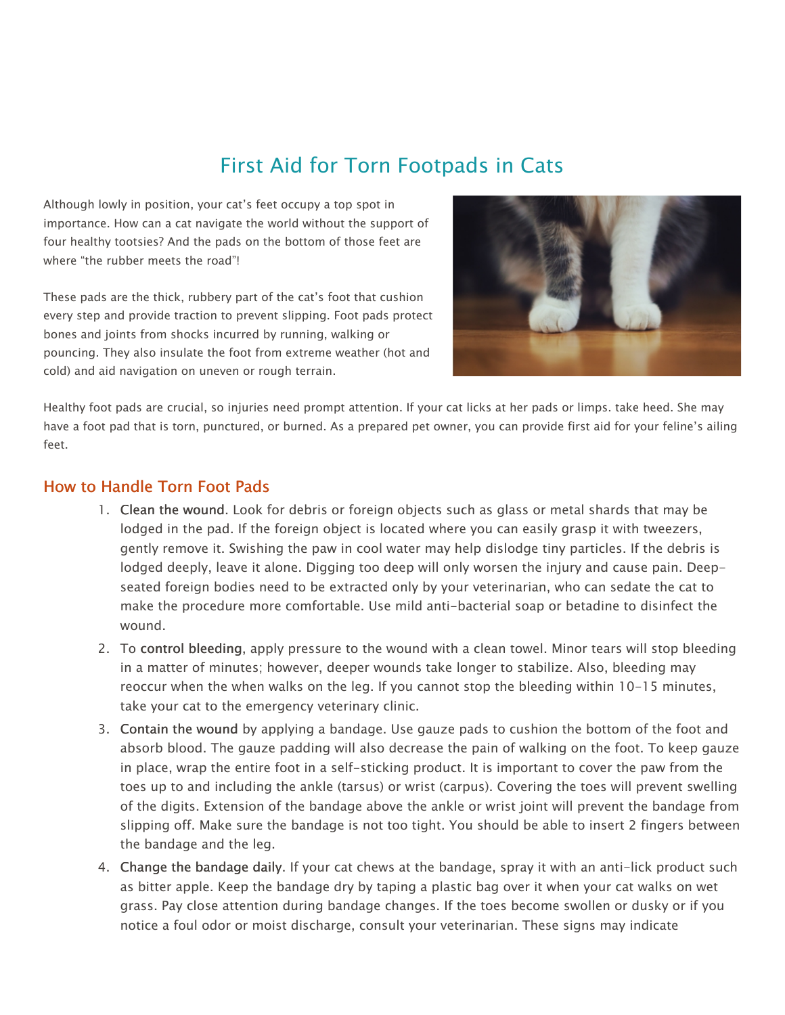# First Aid for Torn Footpads in Cats

Although lowly in position, your cat's feet occupy a top spot in importance. How can a cat navigate the world without the support of four healthy tootsies? And the pads on the bottom of those feet are where "the rubber meets the road"!

These pads are the thick, rubbery part of the cat's foot that cushion every step and provide traction to prevent slipping. Foot pads protect bones and joints from shocks incurred by running, walking or pouncing. They also insulate the foot from extreme weather (hot and cold) and aid navigation on uneven or rough terrain.



Healthy foot pads are crucial, so injuries need prompt attention. If your cat licks at her pads or limps. take heed. She may have a foot pad that is torn, punctured, or burned. As a prepared pet owner, you can provide first aid for your feline's ailing feet.

## How to Handle Torn Foot Pads

- 1. Clean the wound. Look for debris or foreign objects such as glass or metal shards that may be lodged in the pad. If the foreign object is located where you can easily grasp it with tweezers, gently remove it. Swishing the paw in cool water may help dislodge tiny particles. If the debris is lodged deeply, leave it alone. Digging too deep will only worsen the injury and cause pain. Deepseated foreign bodies need to be extracted only by your veterinarian, who can sedate the cat to make the procedure more comfortable. Use mild anti-bacterial soap or betadine to disinfect the wound.
- 2. To control bleeding, apply pressure to the wound with a clean towel. Minor tears will stop bleeding in a matter of minutes; however, deeper wounds take longer to stabilize. Also, bleeding may reoccur when the when walks on the leg. If you cannot stop the bleeding within 10-15 minutes, take your cat to the emergency veterinary clinic.
- 3. Contain the wound by applying a bandage. Use gauze pads to cushion the bottom of the foot and absorb blood. The gauze padding will also decrease the pain of walking on the foot. To keep gauze in place, wrap the entire foot in a self-sticking product. It is important to cover the paw from the toes up to and including the ankle (tarsus) or wrist (carpus). Covering the toes will prevent swelling of the digits. Extension of the bandage above the ankle or wrist joint will prevent the bandage from slipping off. Make sure the bandage is not too tight. You should be able to insert 2 fingers between the bandage and the leg.
- 4. Change the bandage daily. If your cat chews at the bandage, spray it with an anti-lick product such as bitter apple. Keep the bandage dry by taping a plastic bag over it when your cat walks on wet grass. Pay close attention during bandage changes. If the toes become swollen or dusky or if you notice a foul odor or moist discharge, consult your veterinarian. These signs may indicate